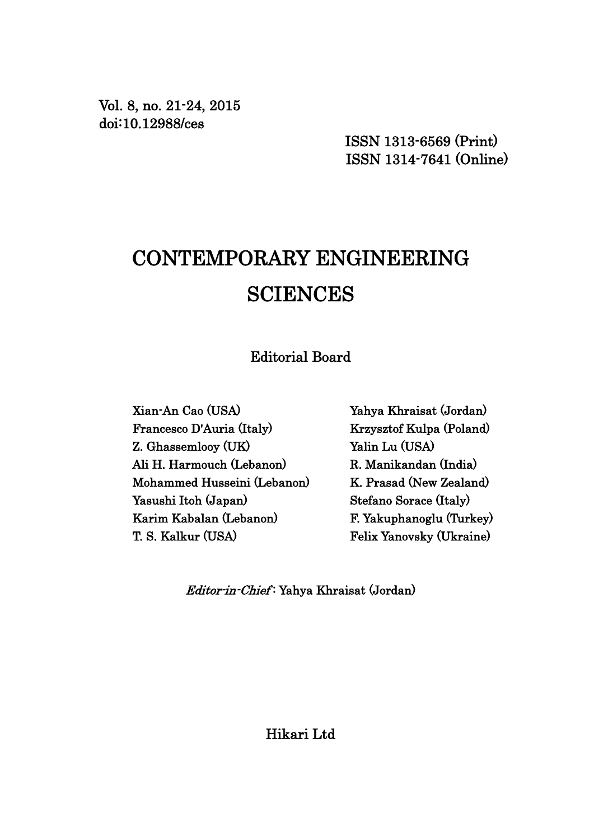Vol. 8, no. 21-24, 2015 doi:10.12988/ces

> ISSN 1313-6569 (Print) ISSN 1314-7641 (Online)

# CONTEMPORARY ENGINEERING **SCIENCES**

Editorial Board

Xian-An Cao (USA) Francesco D'Auria (Italy) Z. Ghassemlooy (UK) Ali H. Harmouch (Lebanon) Mohammed Husseini (Lebanon) Yasushi Itoh (Japan) Karim Kabalan (Lebanon) T. S. Kalkur (USA)

Yahya Khraisat (Jordan) Krzysztof Kulpa (Poland) Yalin Lu (USA) R. Manikandan (India) K. Prasad (New Zealand) Stefano Sorace (Italy) F. Yakuphanoglu (Turkey) Felix Yanovsky (Ukraine)

Editor-in-Chief : Yahya Khraisat (Jordan)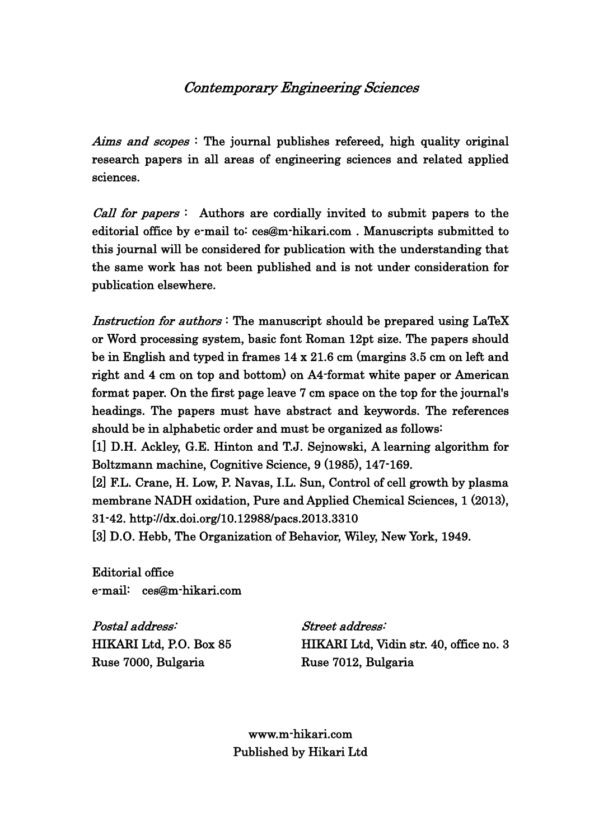## Contemporary Engineering Sciences

Aims and scopes: The journal publishes refereed, high quality original research papers in all areas of engineering sciences and related applied sciences.

*Call for papers* : Authors are cordially invited to submit papers to the editorial office by e-mail to: ces@m-hikari.com . Manuscripts submitted to this journal will be considered for publication with the understanding that the same work has not been published and is not under consideration for publication elsewhere.

Instruction for authors: The manuscript should be prepared using LaTeX or Word processing system, basic font Roman 12pt size. The papers should be in English and typed in frames 14 x 21.6 cm (margins 3.5 cm on left and right and 4 cm on top and bottom) on A4-format white paper or American format paper. On the first page leave 7 cm space on the top for the journal's headings. The papers must have abstract and keywords. The references should be in alphabetic order and must be organized as follows:

[1] D.H. Ackley, G.E. Hinton and T.J. Sejnowski, A learning algorithm for Boltzmann machine, Cognitive Science, 9 (1985), 147-169.

[2] F.L. Crane, H. Low, P. Navas, I.L. Sun, Control of cell growth by plasma membrane NADH oxidation, Pure and Applied Chemical Sciences, 1 (2013), 31-42. http://dx.doi.org/10.12988/pacs.2013.3310

[3] D.O. Hebb, The Organization of Behavior, Wiley, New York, 1949.

Editorial office e-mail: ces@m-hikari.com

Postal address: Street address: Ruse 7000, Bulgaria Ruse 7012, Bulgaria

HIKARI Ltd, P.O. Box 85 HIKARI Ltd, Vidin str. 40, office no. 3

www.m-hikari.com Published by Hikari Ltd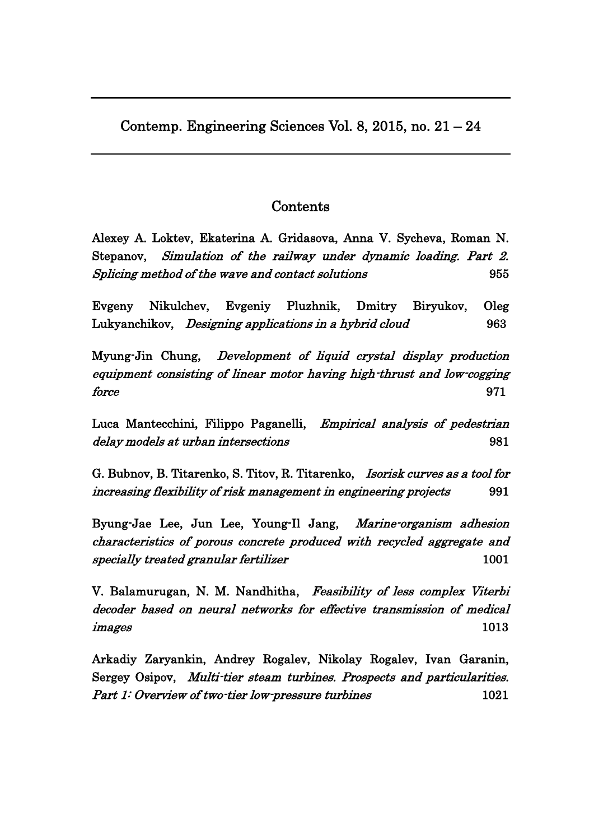Contemp. Engineering Sciences Vol. 8, 2015, no. 21 – 24

# Contents

Alexey A. Loktev, Ekaterina A. Gridasova, Anna V. Sycheva, Roman N. Stepanov, [Simulation of the railway under dynamic loading. Part 2.](http://www.m-hikari.com/ces/ces2015/ces21-24-2015/p/loktevCES21-24-2015.pdf)  [Splicing method of the wave and contact solutions](http://www.m-hikari.com/ces/ces2015/ces21-24-2015/p/loktevCES21-24-2015.pdf) 955

Evgeny Nikulchev, Evgeniy Pluzhnik, Dmitry Biryukov, Oleg Lukyanchikov, *Designing applications in a hybrid cloud* 963

Myung-Jin Chung, [Development of liquid crystal display production](http://www.m-hikari.com/ces/ces2015/ces21-24-2015/p/chungCES21-24-2015.pdf)  [equipment consisting of linear motor having high-thrust and low-cogging](http://www.m-hikari.com/ces/ces2015/ces21-24-2015/p/chungCES21-24-2015.pdf)   $force$  971

Luca Mantecchini, Filippo Paganelli, [Empirical analysis of pedestrian](http://www.m-hikari.com/ces/ces2015/ces21-24-2015/p/mantecchiniCES21-24-2015.pdf)  [delay models at urban intersections](http://www.m-hikari.com/ces/ces2015/ces21-24-2015/p/mantecchiniCES21-24-2015.pdf) and  $981$ 

G. Bubnov, B. Titarenko, S. Titov, R. Titarenko, [Isorisk curves as a tool for](http://www.m-hikari.com/ces/ces2015/ces21-24-2015/p/bubnovCES21-24-2015.pdf)  [increasing flexibility of risk management in engineering projects](http://www.m-hikari.com/ces/ces2015/ces21-24-2015/p/bubnovCES21-24-2015.pdf) 991

Byung-Jae Lee, Jun Lee, Young-Il Jang, [Marine-organism adhesion](http://www.m-hikari.com/ces/ces2015/ces21-24-2015/p/jangCES21-24-2015.pdf)  [characteristics of porous concrete produced with recycled aggregate and](http://www.m-hikari.com/ces/ces2015/ces21-24-2015/p/jangCES21-24-2015.pdf)  [specially treated granular fertilizer](http://www.m-hikari.com/ces/ces2015/ces21-24-2015/p/jangCES21-24-2015.pdf) 1001

V. Balamurugan, N. M. Nandhitha, Feasibility of less complex Viterbi [decoder based on neural networks for effective transmission of medical](http://www.m-hikari.com/ces/ces2015/ces21-24-2015/p/balamuruganCES21-24-2015.pdf)  [images](http://www.m-hikari.com/ces/ces2015/ces21-24-2015/p/balamuruganCES21-24-2015.pdf) 1013

Arkadiy Zaryankin, Andrey Rogalev, Nikolay Rogalev, Ivan Garanin, Sergey Osipov, [Multi-tier steam turbines. Prospects and particularities.](http://www.m-hikari.com/ces/ces2015/ces21-24-2015/rogalevCES21-24-2015-1.pdf)  [Part 1: Overview of two-tier low-pressure turbines](http://www.m-hikari.com/ces/ces2015/ces21-24-2015/rogalevCES21-24-2015-1.pdf) 1021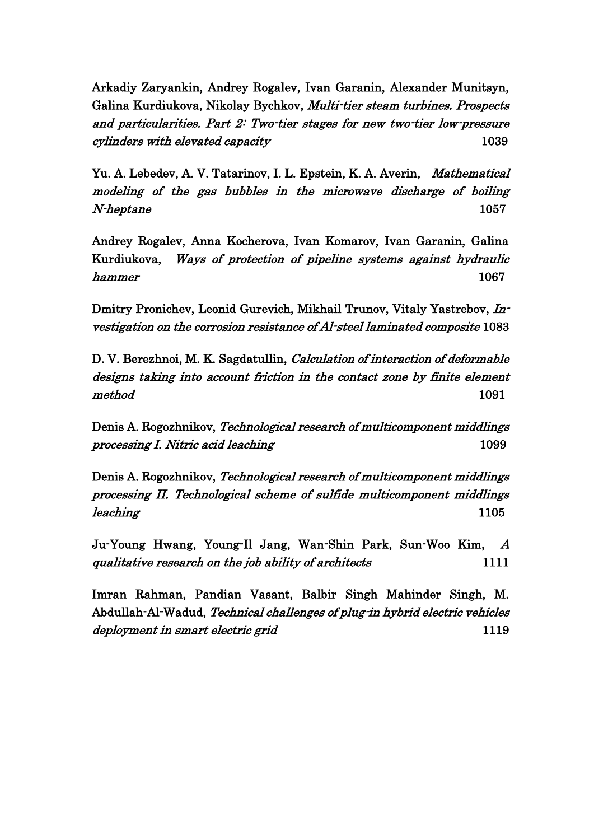Arkadiy Zaryankin, Andrey Rogalev, Ivan Garanin, Alexander Munitsyn, Galina Kurdiukova, Nikolay Bychkov, [Multi-tier steam turbines. Prospects](http://www.m-hikari.com/ces/ces2015/ces21-24-2015/rogalevCES21-24-2015-2.pdf)  [and particularities. Part 2: Two-tier stages for new two-tier low-pressure](http://www.m-hikari.com/ces/ces2015/ces21-24-2015/rogalevCES21-24-2015-2.pdf)  [cylinders with elevated capacity](http://www.m-hikari.com/ces/ces2015/ces21-24-2015/rogalevCES21-24-2015-2.pdf) 1039

Yu. A. Lebedev, A. V. Tatarinov, I. L. Epstein, K. A. Averin, Mathematical [modeling of the gas bubbles in the microwave discharge of boiling](http://www.m-hikari.com/ces/ces2015/ces21-24-2015/p/lebedevCES21-24-2015.pdf)  [N-heptane](http://www.m-hikari.com/ces/ces2015/ces21-24-2015/p/lebedevCES21-24-2015.pdf) 1057

Andrey Rogalev, Anna Kocherova, Ivan Komarov, Ivan Garanin, Galina Kurdiukova, [Ways of protection of pipeline systems against hydraulic](http://www.m-hikari.com/ces/ces2015/ces21-24-2015/p/rogalevCES21-24-2015-3.pdf)  [hammer](http://www.m-hikari.com/ces/ces2015/ces21-24-2015/p/rogalevCES21-24-2015-3.pdf) that the contract of the contract of the contract of the contract of the contract of the contract of the contract of the contract of the contract of the contract of the contract of the contract of the contract of th

Dmitry Pronichev, Leonid Gurevich, Mikhail Trunov, Vitaly Yastrebov, [In](http://www.m-hikari.com/ces/ces2015/ces21-24-2015/p/trunovCES21-24-2015.pdf)[vestigation on the corrosion resistance of Al-steel laminated composite](http://www.m-hikari.com/ces/ces2015/ces21-24-2015/p/trunovCES21-24-2015.pdf) 1083

D. V. Berezhnoi, M. K. Sagdatullin, [Calculation of interaction of deformable](http://www.m-hikari.com/ces/ces2015/ces21-24-2015/p/sagdatullinCES21-24-2015.pdf)  [designs taking into account friction in the contact zone by finite element](http://www.m-hikari.com/ces/ces2015/ces21-24-2015/p/sagdatullinCES21-24-2015.pdf)   $\mathit{method}$  and  $1091$ 

Denis A. Rogozhnikov, [Technological research of multicomponent middlings](http://www.m-hikari.com/ces/ces2015/ces21-24-2015/p/rogozhnikovCES21-24-2015-1.pdf)  [processing I. Nitric acid leaching](http://www.m-hikari.com/ces/ces2015/ces21-24-2015/p/rogozhnikovCES21-24-2015-1.pdf) 1099

Denis A. Rogozhnikov, [Technological research of multicomponent middlings](http://www.m-hikari.com/ces/ces2015/ces21-24-2015/p/rogozhnikovCES21-24-2015-2.pdf)  [processing II. Technological scheme of sulfide multicomponent middlings](http://www.m-hikari.com/ces/ces2015/ces21-24-2015/p/rogozhnikovCES21-24-2015-2.pdf)  [leaching](http://www.m-hikari.com/ces/ces2015/ces21-24-2015/p/rogozhnikovCES21-24-2015-2.pdf) 1105

Ju-Young Hwang, Young-Il Jang, Wan-Shin Park, Sun-Woo Kim, [A](http://www.m-hikari.com/ces/ces2015/ces21-24-2015/p/parkCES21-24-2015.pdf)  [qualitative research on the job ability of architects](http://www.m-hikari.com/ces/ces2015/ces21-24-2015/p/parkCES21-24-2015.pdf) 1111

Imran Rahman, Pandian Vasant, Balbir Singh Mahinder Singh, M. Abdullah-Al-Wadud, [Technical challenges of plug-in hybrid electric vehicles](http://www.m-hikari.com/ces/ces2015/ces21-24-2015/p/rahmanCES21-24-2015.pdf)  [deployment in smart electric grid](http://www.m-hikari.com/ces/ces2015/ces21-24-2015/p/rahmanCES21-24-2015.pdf) 1119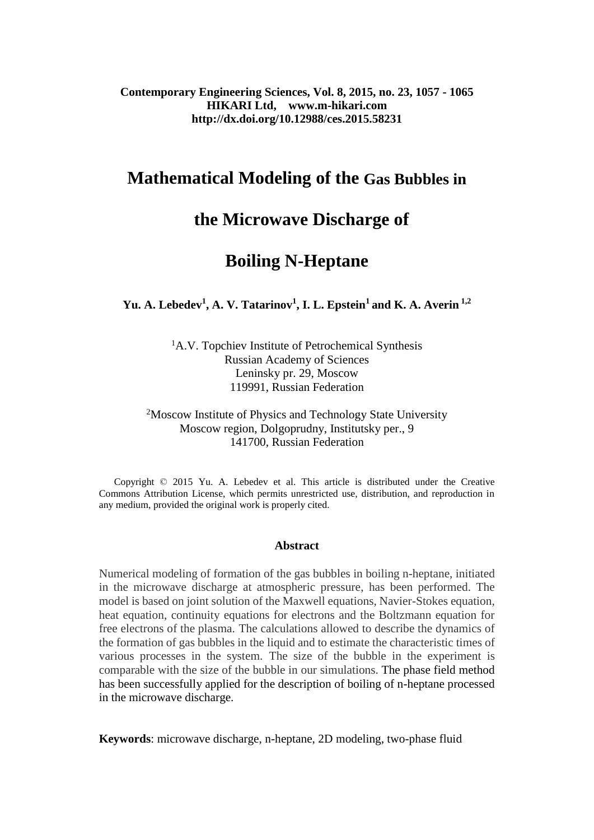**Contemporary Engineering Sciences, Vol. 8, 2015, no. 23, 1057 - 1065 HIKARI Ltd, www.m-hikari.com http://dx.doi.org/10.12988/ces.2015.58231**

# **Mathematical Modeling of the Gas Bubbles in**

# **the Microwave Discharge of**

# **Boiling N-Heptane**

**Yu. A. Lebedev<sup>1</sup> , A. V. Tatarinov<sup>1</sup> , I. L. Epstein<sup>1</sup> and K. A. Averin 1,2**

<sup>1</sup>A.V. Topchiev Institute of Petrochemical Synthesis Russian Academy of Sciences Leninsky pr. 29, Moscow 119991, Russian Federation

<sup>2</sup>Moscow Institute of Physics and Technology State University Moscow region, Dolgoprudny, Institutsky per., 9 141700, Russian Federation

 Copyright © 2015 Yu. A. Lebedev et al. This article is distributed under the Creative Commons Attribution License, which permits unrestricted use, distribution, and reproduction in any medium, provided the original work is properly cited.

#### **Abstract**

Numerical modeling of formation of the gas bubbles in boiling n-heptane, initiated in the microwave discharge at atmospheric pressure, has been performed. The model is based on joint solution of the Maxwell equations, Navier-Stokes equation, heat equation, continuity equations for electrons and the Boltzmann equation for free electrons of the plasma. The calculations allowed to describe the dynamics of the formation of gas bubbles in the liquid and to estimate the characteristic times of various processes in the system. The size of the bubble in the experiment is comparable with the size of the bubble in our simulations. The phase field method has been successfully applied for the description of boiling of n-heptane processed in the microwave discharge.

**Keywords**: microwave discharge, n-heptane, 2D modeling, two-phase fluid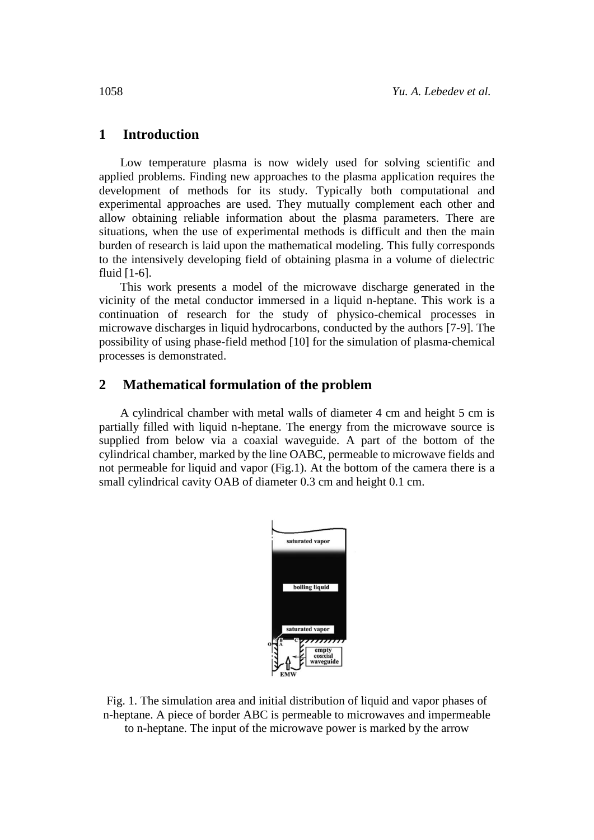### **1 Introduction**

Low temperature plasma is now widely used for solving scientific and applied problems. Finding new approaches to the plasma application requires the development of methods for its study. Typically both computational and experimental approaches are used. They mutually complement each other and allow obtaining reliable information about the plasma parameters. There are situations, when the use of experimental methods is difficult and then the main burden of research is laid upon the mathematical modeling. This fully corresponds to the intensively developing field of obtaining plasma in a volume of dielectric fluid [1-6].

This work presents a model of the microwave discharge generated in the vicinity of the metal conductor immersed in a liquid n-heptane. This work is a continuation of research for the study of physico-chemical processes in microwave discharges in liquid hydrocarbons, conducted by the authors [7-9]. The possibility of using phase-field method [10] for the simulation of plasma-chemical processes is demonstrated.

## **2 Mathematical formulation of the problem**

A cylindrical chamber with metal walls of diameter 4 cm and height 5 cm is partially filled with liquid n-heptane. The energy from the microwave source is supplied from below via a coaxial waveguide. A part of the bottom of the cylindrical chamber, marked by the line OABC, permeable to microwave fields and not permeable for liquid and vapor (Fig.1). At the bottom of the camera there is a small cylindrical cavity OAB of diameter 0.3 cm and height 0.1 cm.



Fig. 1. The simulation area and initial distribution of liquid and vapor phases of n-heptane. A piece of border ABC is permeable to microwaves and impermeable to n-heptane. The input of the microwave power is marked by the arrow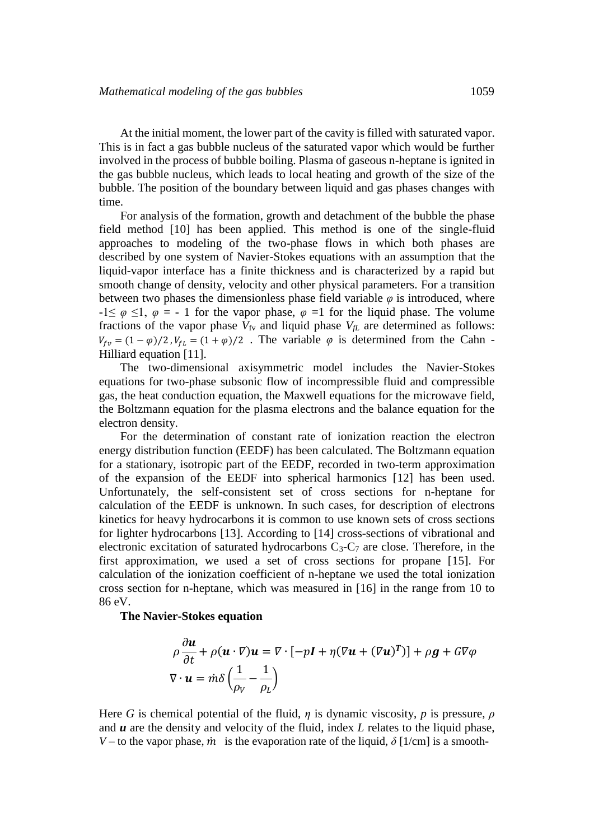At the initial moment, the lower part of the cavity is filled with saturated vapor. This is in fact a gas bubble nucleus of the saturated vapor which would be further involved in the process of bubble boiling. Plasma of gaseous n-heptane is ignited in the gas bubble nucleus, which leads to local heating and growth of the size of the bubble. The position of the boundary between liquid and gas phases changes with time.

For analysis of the formation, growth and detachment of the bubble the phase field method [10] has been applied. This method is one of the single-fluid approaches to modeling of the two-phase flows in which both phases are described by one system of Navier-Stokes equations with an assumption that the liquid-vapor interface has a finite thickness and is characterized by a rapid but smooth change of density, velocity and other physical parameters. For a transition between two phases the dimensionless phase field variable  $\varphi$  is introduced, where  $-1 \leq \varphi \leq 1$ ,  $\varphi = -1$  for the vapor phase,  $\varphi = 1$  for the liquid phase. The volume fractions of the vapor phase  $V_{fV}$  and liquid phase  $V_{fL}$  are determined as follows:  $V_{fv} = (1 - \varphi)/2$ ,  $V_{fL} = (1 + \varphi)/2$ . The variable  $\varphi$  is determined from the Cahn -Hilliard equation [11].

The two-dimensional axisymmetric model includes the Navier-Stokes equations for two-phase subsonic flow of incompressible fluid and compressible gas, the heat conduction equation, the Maxwell equations for the microwave field, the Boltzmann equation for the plasma electrons and the balance equation for the electron density.

For the determination of constant rate of ionization reaction the electron energy distribution function (EEDF) has been calculated. The Boltzmann equation for a stationary, isotropic part of the EEDF, recorded in two-term approximation of the expansion of the EEDF into spherical harmonics [12] has been used. Unfortunately, the self-consistent set of cross sections for n-heptane for calculation of the EEDF is unknown. In such cases, for description of electrons kinetics for heavy hydrocarbons it is common to use known sets of cross sections for lighter hydrocarbons [13]. According to [14] cross-sections of vibrational and electronic excitation of saturated hydrocarbons  $C_3-C_7$  are close. Therefore, in the first approximation, we used a set of cross sections for propane [15]. For calculation of the ionization coefficient of n-heptane we used the total ionization cross section for n-heptane, which was measured in [16] in the range from 10 to 86 eV.

**The Navier-Stokes equation**

$$
\rho \frac{\partial \boldsymbol{u}}{\partial t} + \rho (\boldsymbol{u} \cdot \nabla) \boldsymbol{u} = \nabla \cdot [-p\boldsymbol{I} + \eta (\nabla \boldsymbol{u} + (\nabla \boldsymbol{u})^T)] + \rho \boldsymbol{g} + G \nabla \varphi
$$
  

$$
\nabla \cdot \boldsymbol{u} = \dot{m} \delta \left( \frac{1}{\rho_V} - \frac{1}{\rho_L} \right)
$$

Here *G* is chemical potential of the fluid, *η* is dynamic viscosity, *p* is pressure, *ρ* and *u* are the density and velocity of the fluid, index *L* relates to the liquid phase, *V* – to the vapor phase,  $\dot{m}$  is the evaporation rate of the liquid,  $\delta$  [1/cm] is a smooth-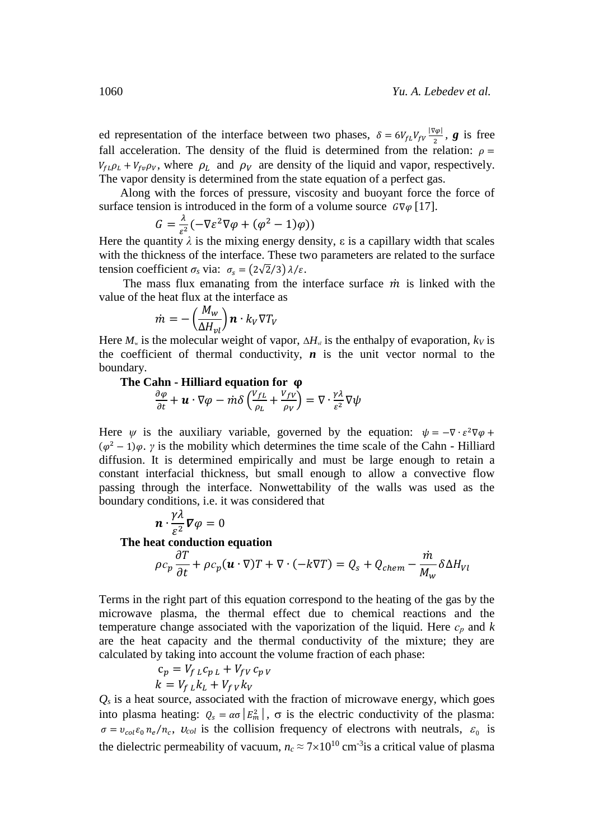ed representation of the interface between two phases,  $\delta = 6V_{fL}V_{fV} \frac{|\nabla \varphi|}{r^2}$  $\frac{\sqrt{\varphi}}{2}$ , **g** is free fall acceleration. The density of the fluid is determined from the relation:  $\rho =$  $V_{f\mu}\rho_{\mu} + V_{f\nu}\rho_{V}$ , where  $\rho_{\mu}$  and  $\rho_{V}$  are density of the liquid and vapor, respectively. The vapor density is determined from the state equation of a perfect gas.

Along with the forces of pressure, viscosity and buoyant force the force of surface tension is introduced in the form of a volume source  $G\nabla\varphi$  [17].

$$
G = \frac{\lambda}{\varepsilon^2} \left( -\nabla \varepsilon^2 \nabla \varphi + (\varphi^2 - 1) \varphi \right)
$$

Here the quantity  $\lambda$  is the mixing energy density,  $\varepsilon$  is a capillary width that scales with the thickness of the interface. These two parameters are related to the surface tension coefficient  $\sigma_s$  via:  $\sigma_s = (2\sqrt{2}/3) \lambda/\varepsilon$ .

The mass flux emanating from the interface surface  $\dot{m}$  is linked with the value of the heat flux at the interface as

$$
\dot{m} = -\left(\frac{M_w}{\Delta H_{\nu l}}\right) \mathbf{n} \cdot k_V \nabla T_V
$$

Here  $M_{\rm w}$  is the molecular weight of vapor,  $\Delta H_{\rm v}$  is the enthalpy of evaporation,  $k_V$  is the coefficient of thermal conductivity,  $n$  is the unit vector normal to the boundary.

**The Cahn - Hilliard equation for** 

$$
\frac{\partial \varphi}{\partial t} + \boldsymbol{u} \cdot \nabla \varphi - m \delta \left( \frac{V_{fL}}{\rho_L} + \frac{V_{fV}}{\rho_V} \right) = \nabla \cdot \frac{\gamma \lambda}{\varepsilon^2} \nabla \psi
$$

Here  $\psi$  is the auxiliary variable, governed by the equation:  $\psi = -\nabla \cdot \varepsilon^2 \nabla \varphi$  +  $(\varphi^2 - 1)\varphi$ . *γ* is the mobility which determines the time scale of the Cahn - Hilliard diffusion. It is determined empirically and must be large enough to retain a constant interfacial thickness, but small enough to allow a convective flow passing through the interface. Nonwettability of the walls was used as the boundary conditions, i.e. it was considered that

$$
\boldsymbol{n}\cdot\frac{\gamma\lambda}{\varepsilon^2}\boldsymbol{\nabla}\varphi=0
$$

**The heat conduction equation**

$$
\rho c_p \frac{\partial T}{\partial t} + \rho c_p (\mathbf{u} \cdot \nabla) T + \nabla \cdot (-k \nabla T) = Q_s + Q_{chem} - \frac{\dot{m}}{M_w} \delta \Delta H_{VI}
$$

Terms in the right part of this equation correspond to the heating of the gas by the microwave plasma, the thermal effect due to chemical reactions and the temperature change associated with the vaporization of the liquid. Here *с<sup>р</sup>* and *k* are the heat capacity and the thermal conductivity of the mixture; they are calculated by taking into account the volume fraction of each phase:

$$
c_p = V_{f L} c_{p L} + V_{f V} c_{p V}
$$
  

$$
k = V_{f L} k_L + V_{f V} k_V
$$

 $Q<sub>s</sub>$  is a heat source, associated with the fraction of microwave energy, which goes into plasma heating:  $Q_s = \alpha \sigma |E_m^2|$ ,  $\sigma$  is the electric conductivity of the plasma:  $\sigma = v_{col} \varepsilon_0 n_e / n_c$ ,  $v_{col}$  is the collision frequency of electrons with neutrals,  $\varepsilon_0$  is the dielectric permeability of vacuum,  $n_c \approx 7 \times 10^{10}$  cm<sup>-3</sup> is a critical value of plasma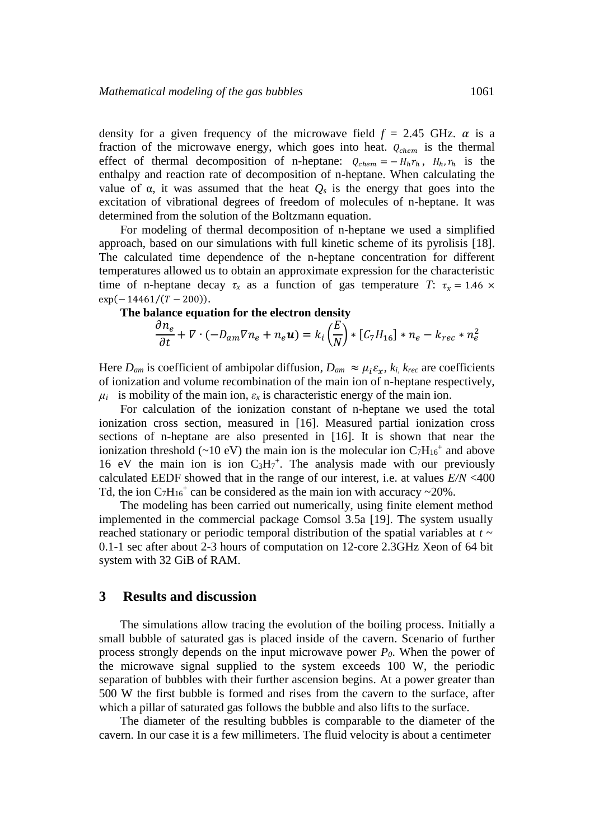density for a given frequency of the microwave field  $f = 2.45$  GHz.  $\alpha$  is a fraction of the microwave energy, which goes into heat.  $Q_{chem}$  is the thermal effect of thermal decomposition of n-heptane:  $Q_{chem} = -H_h r_h$ ,  $H_h r_h$  is the enthalpy and reaction rate of decomposition of n-heptane. When calculating the value of  $\alpha$ , it was assumed that the heat  $Q_s$  is the energy that goes into the excitation of vibrational degrees of freedom of molecules of n-heptane. It was determined from the solution of the Boltzmann equation.

For modeling of thermal decomposition of n-heptane we used a simplified approach, based on our simulations with full kinetic scheme of its pyrolisis [18]. The calculated time dependence of the n-heptane concentration for different temperatures allowed us to obtain an approximate expression for the characteristic time of n-heptane decay  $\tau_x$  as a function of gas temperature *T*:  $\tau_x = 1.46 \times$  $\exp(-14461/(T-200)).$ 

## **The balance equation for the electron density**

$$
\frac{\partial n_e}{\partial t} + \nabla \cdot (-D_{am}\nabla n_e + n_e \mathbf{u}) = k_i \left(\frac{E}{N}\right) * [C_7H_{16}] * n_e - k_{rec} * n_e^2
$$

Here  $D_{am}$  is coefficient of ambipolar diffusion,  $D_{am} \approx \mu_i \varepsilon_r$ ,  $k_i$ ,  $k_{rec}$  are coefficients of ionization and volume recombination of the main ion of n-heptane respectively,  $\mu_i$  is mobility of the main ion,  $\varepsilon_x$  is characteristic energy of the main ion.

For calculation of the ionization constant of n-heptane we used the total ionization cross section, measured in [16]. Measured partial ionization cross sections of n-heptane are also presented in [16]. It is shown that near the ionization threshold (~10 eV) the main ion is the molecular ion  $C_7H_{16}$ <sup>+</sup> and above 16 eV the main ion is ion  $C_3H_7^+$ . The analysis made with our previously calculated EEDF showed that in the range of our interest, i.e. at values *E/N* <400 Td, the ion  $C_7H_{16}$ <sup>+</sup> can be considered as the main ion with accuracy ~20%.

The modeling has been carried out numerically, using finite element method implemented in the commercial package Comsol 3.5a [19]. The system usually reached stationary or periodic temporal distribution of the spatial variables at *t* ~ 0.1-1 sec after about 2-3 hours of computation on 12-core 2.3GHz Xeon of 64 bit system with 32 GiB of RAM.

#### **3 Results and discussion**

The simulations allow tracing the evolution of the boiling process. Initially a small bubble of saturated gas is placed inside of the cavern. Scenario of further process strongly depends on the input microwave power *P0*. When the power of the microwave signal supplied to the system exceeds 100 W, the periodic separation of bubbles with their further ascension begins. At a power greater than 500 W the first bubble is formed and rises from the cavern to the surface, after which a pillar of saturated gas follows the bubble and also lifts to the surface.

The diameter of the resulting bubbles is comparable to the diameter of the cavern. In our case it is a few millimeters. The fluid velocity is about a centimeter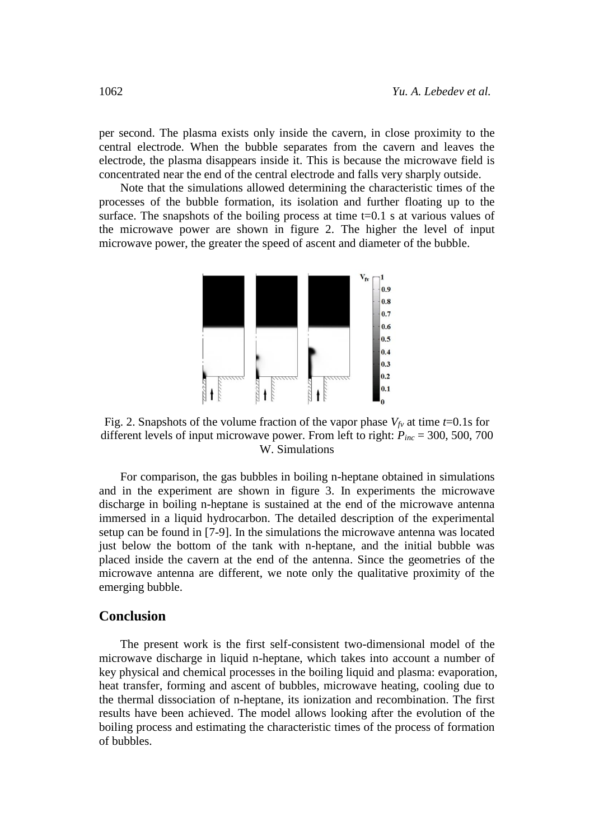per second. The plasma exists only inside the cavern, in close proximity to the central electrode. When the bubble separates from the cavern and leaves the electrode, the plasma disappears inside it. This is because the microwave field is concentrated near the end of the central electrode and falls very sharply outside.

Note that the simulations allowed determining the characteristic times of the processes of the bubble formation, its isolation and further floating up to the surface. The snapshots of the boiling process at time  $t=0.1$  s at various values of the microwave power are shown in figure 2. The higher the level of input microwave power, the greater the speed of ascent and diameter of the bubble.



Fig. 2. Snapshots of the volume fraction of the vapor phase  $V_{fv}$  at time *t*=0.1s for different levels of input microwave power. From left to right: *Pinc* = 300, 500, 700 W. Simulations

For comparison, the gas bubbles in boiling n-heptane obtained in simulations and in the experiment are shown in figure 3. In experiments the microwave discharge in boiling n-heptane is sustained at the end of the microwave antenna immersed in a liquid hydrocarbon. The detailed description of the experimental setup can be found in [7-9]. In the simulations the microwave antenna was located just below the bottom of the tank with n-heptane, and the initial bubble was placed inside the cavern at the end of the antenna. Since the geometries of the microwave antenna are different, we note only the qualitative proximity of the emerging bubble.

## **Conclusion**

The present work is the first self-consistent two-dimensional model of the microwave discharge in liquid n-heptane, which takes into account a number of key physical and chemical processes in the boiling liquid and plasma: evaporation, heat transfer, forming and ascent of bubbles, microwave heating, cooling due to the thermal dissociation of n-heptane, its ionization and recombination. The first results have been achieved. The model allows looking after the evolution of the boiling process and estimating the characteristic times of the process of formation of bubbles.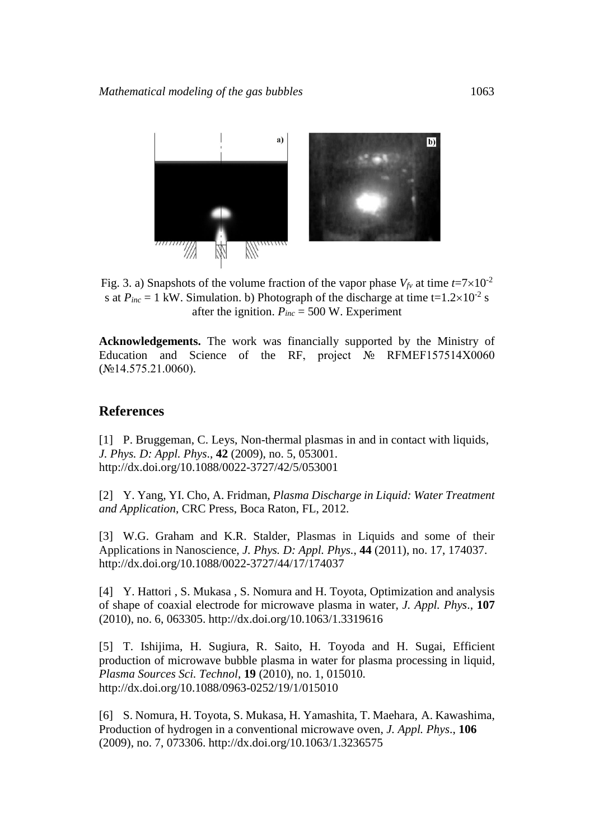

Fig. 3. a) Snapshots of the volume fraction of the vapor phase  $V_{fv}$  at time  $t=7\times10^{-2}$ s at  $P_{inc} = 1$  kW. Simulation. b) Photograph of the discharge at time  $t=1.2 \times 10^{-2}$  s after the ignition.  $P_{inc} = 500$  W. Experiment

**Acknowledgements.** The work was financially supported by the Ministry of Education and Science of the RF, project № RFMEF157514X0060  $(N_214.575.21.0060)$ .

## **References**

[1] P. Bruggeman, C. Leys, Non-thermal plasmas in and in contact with liquids, *J. Phys. D: Appl. Phys*., **42** (2009), no. 5, 053001. http://dx.doi.org/10.1088/0022-3727/42/5/053001

[2] Y. Yang, YI. Cho, A. Fridman, *Plasma Discharge in Liquid: Water Treatment and Application*, CRC Press, Boca Raton, FL, 2012.

[3] W.G. Graham and K.R. Stalder, Plasmas in Liquids and some of their Applications in Nanoscience, *J. Phys. D: Appl. Phys.*, **44** (2011), no. 17, 174037. http://dx.doi.org/10.1088/0022-3727/44/17/174037

[4] Y. Hattori, S. Mukasa, S. Nomura and H. Toyota, Optimization and analysis of shape of coaxial electrode for microwave plasma in water, *J. Appl. Phys*., **107** (2010), no. 6, 063305. http://dx.doi.org/10.1063/1.3319616

[5] T. Ishijima, H. Sugiura, R. Saito, H. Toyoda and H. Sugai, Efficient production of microwave bubble plasma in water for plasma processing in liquid, *Plasma Sources Sci. Technol*, **19** (2010), no. 1, 015010. http://dx.doi.org/10.1088/0963-0252/19/1/015010

[6] S. Nomura, H. Toyota, S. Mukasa, H. Yamashita, T. Maehara, A. Kawashima, Production of hydrogen in a conventional microwave oven, *J. Appl. Phys*., **106** (2009), no. 7, 073306. http://dx.doi.org/10.1063/1.3236575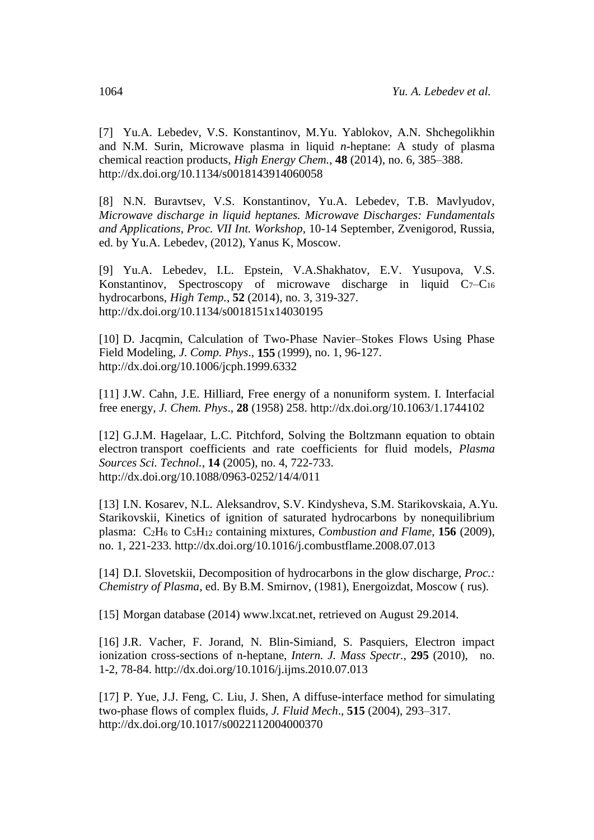[7] Yu.A. Lebedev, V.S. Konstantinov, M.Yu. Yablokov, A.N. Shchegolikhin and N.M. Surin, Microwave plasma in liquid *n*-heptane: A study of plasma chemical reaction products, *High Energy Chem.*, **48** (2014), no. 6, 385–388. http://dx.doi.org/10.1134/s0018143914060058

[8] N.N. Buravtsev, V.S. Konstantinov, Yu.A. Lebedev, T.B. Mavlyudov, *Microwave discharge in liquid heptanes. Microwave Discharges: Fundamentals and Applications*, *Proc. VII Int. Workshop*, 10-14 September, Zvenigorod, Russia, ed. by Yu.A. Lebedev, (2012), Yanus K, Moscow.

[9] Yu.A. Lebedev, I.L. Epstein, V.A.Shakhatov, E.V. Yusupova, V.S. Konstantinov, Spectroscopy of microwave discharge in liquid  $C_7-C_{16}$ hydrocarbons, *High Temp.*, **52** (2014), no. 3, 319-327. http://dx.doi.org/10.1134/s0018151x14030195

[10] D. Jacqmin, Calculation of Two-Phase Navier–Stokes Flows Using Phase Field Modeling, *J. Comp. Phys*., **155** (1999), no. 1, 96-127. http://dx.doi.org/10.1006/jcph.1999.6332

[11] J.W. Cahn, J.E. Hilliard, Free energy of a nonuniform system. I. Interfacial free energy, *J. Chem. Phys*., **28** (1958) 258. http://dx.doi.org/10.1063/1.1744102

[12] G.J.M. Hagelaar, L.C. Pitchford, Solving the Boltzmann equation to obtain electron transport coefficients and rate coefficients for fluid models, *Plasma Sources Sci. Technol.*, **14** (2005), no. 4, 722-733. http://dx.doi.org/10.1088/0963-0252/14/4/011

[13] I.N. Kosarev, N.L. Aleksandrov, S.V. Kindysheva, S.M. Starikovskaia, A.Yu. Starikovskii, Kinetics of ignition of saturated hydrocarbons by nonequilibrium plasma: C2H<sup>6</sup> to C5H<sup>12</sup> containing mixtures, *Combustion and Flame*, **156** (2009), no. 1, 221-233. http://dx.doi.org/10.1016/j.combustflame.2008.07.013

[14] D.I. Slovetskii, Decomposition of hydrocarbons in the glow discharge, *Proc.: Chemistry of Plasma*, ed. By B.M. Smirnov, (1981), Energoizdat, Moscow ( rus).

[15] Morgan database (2014) [www.lxcat.net,](http://www.lxcat.net/) retrieved on August 29.2014.

[16] J.R. Vacher, F. Jorand, N. Blin-Simiand, S. Pasquiers, Electron impact ionization cross-sections of n-heptane, *Intern. J. Mass Spectr.,* **295** (2010), no. 1-2, 78-84. http://dx.doi.org/10.1016/j.ijms.2010.07.013

[17] P. Yue, J.J. Feng, C. Liu, J. Shen, A diffuse-interface method for simulating two-phase flows of complex fluids, *J. Fluid Mech*., **515** (2004), 293–317. http://dx.doi.org/10.1017/s0022112004000370